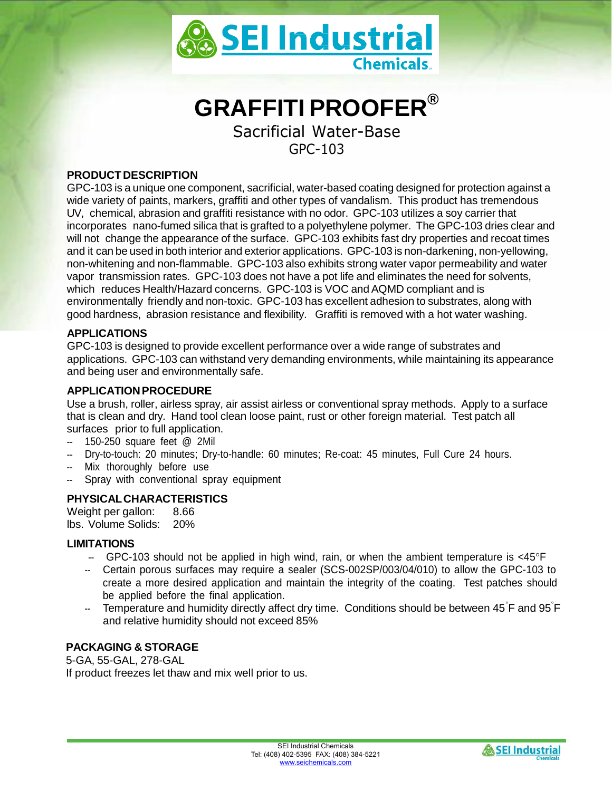

# **GRAFFITI PROOFER®**

Sacrificial Water-Base GPC-103

# **PRODUCT DESCRIPTION**

GPC-103 is a unique one component, sacrificial, water-based coating designed for protection against a wide variety of paints, markers, graffiti and other types of vandalism. This product has tremendous UV, chemical, abrasion and graffiti resistance with no odor. GPC-103 utilizes a soy carrier that incorporates nano-fumed silica that is grafted to a polyethylene polymer. The GPC-103 dries clear and will not change the appearance of the surface. GPC-103 exhibits fast dry properties and recoat times and it can be used in both interior and exterior applications. GPC-103 is non-darkening, non-yellowing, non-whitening and non-flammable. GPC-103 also exhibits strong water vapor permeability and water vapor transmission rates. GPC-103 does not have a pot life and eliminates the need for solvents, which reduces Health/Hazard concerns. GPC-103 is VOC and AQMD compliant and is environmentally friendly and non-toxic. GPC-103 has excellent adhesion to substrates, along with good hardness, abrasion resistance and flexibility. Graffiti is removed with a hot water washing.

# **APPLICATIONS**

GPC-103 is designed to provide excellent performance over a wide range of substrates and applications. GPC-103 can withstand very demanding environments, while maintaining its appearance and being user and environmentally safe.

#### **APPLICATIONPROCEDURE**

Use a brush, roller, airless spray, air assist airless or conventional spray methods. Apply to a surface that is clean and dry. Hand tool clean loose paint, rust or other foreign material. Test patch all surfaces prior to full application.

- -- 150-250 square feet @ 2Mil
- -- Dry-to-touch: 20 minutes; Dry-to-handle: 60 minutes; Re-coat: 45 minutes, Full Cure 24 hours.
- Mix thoroughly before use
- Spray with conventional spray equipment

# **PHYSICALCHARACTERISTICS**

Weight per gallon: 8.66 lbs. Volume Solids: 20%

# **LIMITATIONS**

- $-$  GPC-103 should not be applied in high wind, rain, or when the ambient temperature is  $\leq 45^{\circ}$ F
- -- Certain porous surfaces may require a sealer (SCS-002SP/003/04/010) to allow the GPC-103 to create a more desired application and maintain the integrity of the coating. Test patches should be applied before the final application.
- -- Temperature and humidity directly affect dry time. Conditions should be between 45 °F and 95°F and relative humidity should not exceed 85%

# **PACKAGING & STORAGE**

5-GA, 55-GAL, 278-GAL If product freezes let thaw and mix well prior to us.